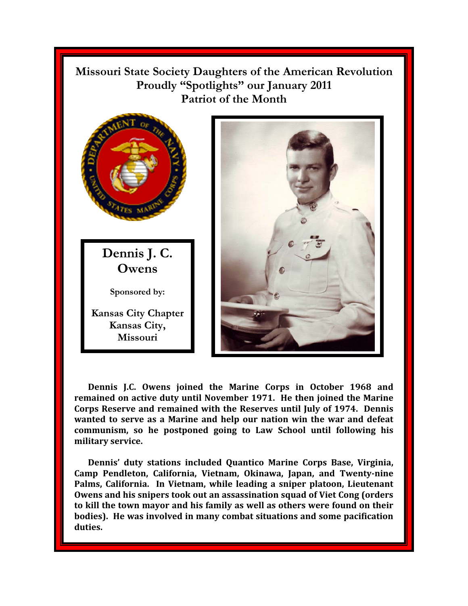**Missouri State Society Daughters of the American Revolution Proudly "Spotlights" our January 2011 Patriot of the Month** 



**Dennis J.C. Owens joined the Marine Corps in October 1968 and remained on active duty until November 1971. He then joined the Marine Corps Reserve and remained with the Reserves until July of 1974. Dennis wanted to serve as a Marine and help our nation win the war and defeat communism, so he postponed going to Law School until following his military service.** 

**Dennis' duty stations included Quantico Marine Corps Base, Virginia, Camp Pendleton, California, Vietnam, Okinawa, Japan, and Twenty-nine Palms, California. In Vietnam, while leading a sniper platoon, Lieutenant Owens and his snipers took out an assassination squad of Viet Cong (orders to kill the town mayor and his family as well as others were found on their bodies). He was involved in many combat situations and some pacification duties.**